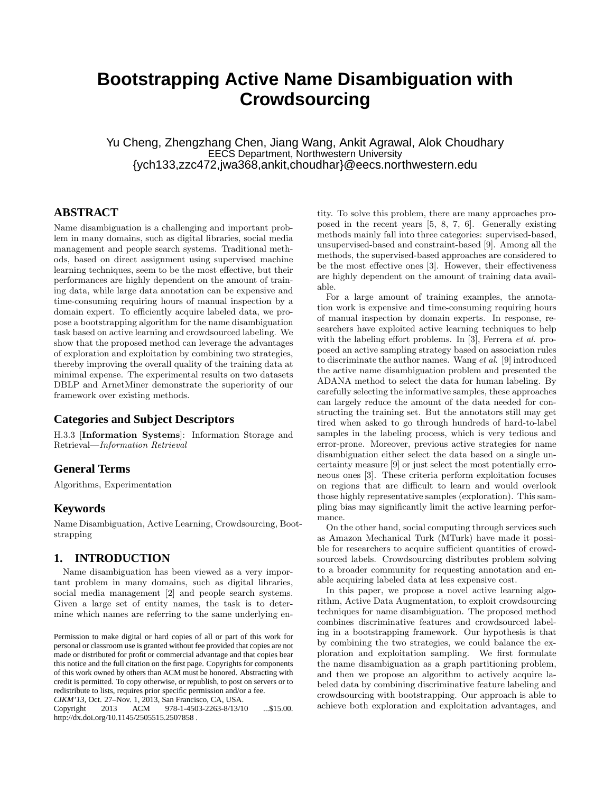# **Bootstrapping Active Name Disambiguation with Crowdsourcing**

Yu Cheng, Zhengzhang Chen, Jiang Wang, Ankit Agrawal, Alok Choudhary EECS Department, Northwestern University {ych133,zzc472,jwa368,ankit,choudhar}@eecs.northwestern.edu

# **ABSTRACT**

Name disambiguation is a challenging and important problem in many domains, such as digital libraries, social media management and people search systems. Traditional methods, based on direct assignment using supervised machine learning techniques, seem to be the most effective, but their performances are highly dependent on the amount of training data, while large data annotation can be expensive and time-consuming requiring hours of manual inspection by a domain expert. To efficiently acquire labeled data, we propose a bootstrapping algorithm for the name disambiguation task based on active learning and crowdsourced labeling. We show that the proposed method can leverage the advantages of exploration and exploitation by combining two strategies, thereby improving the overall quality of the training data at minimal expense. The experimental results on two datasets DBLP and ArnetMiner demonstrate the superiority of our framework over existing methods.

## **Categories and Subject Descriptors**

H.3.3 [Information Systems]: Information Storage and Retrieval—Information Retrieval

## **General Terms**

Algorithms, Experimentation

## **Keywords**

Name Disambiguation, Active Learning, Crowdsourcing, Bootstrapping

# **1. INTRODUCTION**

Name disambiguation has been viewed as a very important problem in many domains, such as digital libraries, social media management [2] and people search systems. Given a large set of entity names, the task is to determine which names are referring to the same underlying en-

http://dx.doi.org/10.1145/2505515.2507858 .

tity. To solve this problem, there are many approaches proposed in the recent years [5, 8, 7, 6]. Generally existing methods mainly fall into three categories: supervised-based, unsupervised-based and constraint-based [9]. Among all the methods, the supervised-based approaches are considered to be the most effective ones [3]. However, their effectiveness are highly dependent on the amount of training data available.

For a large amount of training examples, the annotation work is expensive and time-consuming requiring hours of manual inspection by domain experts. In response, researchers have exploited active learning techniques to help with the labeling effort problems. In [3], Ferrera *et al.* proposed an active sampling strategy based on association rules to discriminate the author names. Wang et al. [9] introduced the active name disambiguation problem and presented the ADANA method to select the data for human labeling. By carefully selecting the informative samples, these approaches can largely reduce the amount of the data needed for constructing the training set. But the annotators still may get tired when asked to go through hundreds of hard-to-label samples in the labeling process, which is very tedious and error-prone. Moreover, previous active strategies for name disambiguation either select the data based on a single uncertainty measure [9] or just select the most potentially erroneous ones [3]. These criteria perform exploitation focuses on regions that are difficult to learn and would overlook those highly representative samples (exploration). This sampling bias may significantly limit the active learning performance.

On the other hand, social computing through services such as Amazon Mechanical Turk (MTurk) have made it possible for researchers to acquire sufficient quantities of crowdsourced labels. Crowdsourcing distributes problem solving to a broader community for requesting annotation and enable acquiring labeled data at less expensive cost.

In this paper, we propose a novel active learning algorithm, Active Data Augmentation, to exploit crowdsourcing techniques for name disambiguation. The proposed method combines discriminative features and crowdsourced labeling in a bootstrapping framework. Our hypothesis is that by combining the two strategies, we could balance the exploration and exploitation sampling. We first formulate the name disambiguation as a graph partitioning problem, and then we propose an algorithm to actively acquire labeled data by combining discriminative feature labeling and crowdsourcing with bootstrapping. Our approach is able to achieve both exploration and exploitation advantages, and

Permission to make digital or hard copies of all or part of this work for personal or classroom use is granted without fee provided that copies are not made or distributed for profit or commercial advantage and that copies bear this notice and the full citation on the first page. Copyrights for components of this work owned by others than ACM must be honored. Abstracting with credit is permitted. To copy otherwise, or republish, to post on servers or to redistribute to lists, requires prior specific permission and/or a fee. *CIKM'13,* Oct. 27–Nov. 1, 2013, San Francisco, CA, USA. 978-1-4503-2263-8/13/10 ...\$15.00.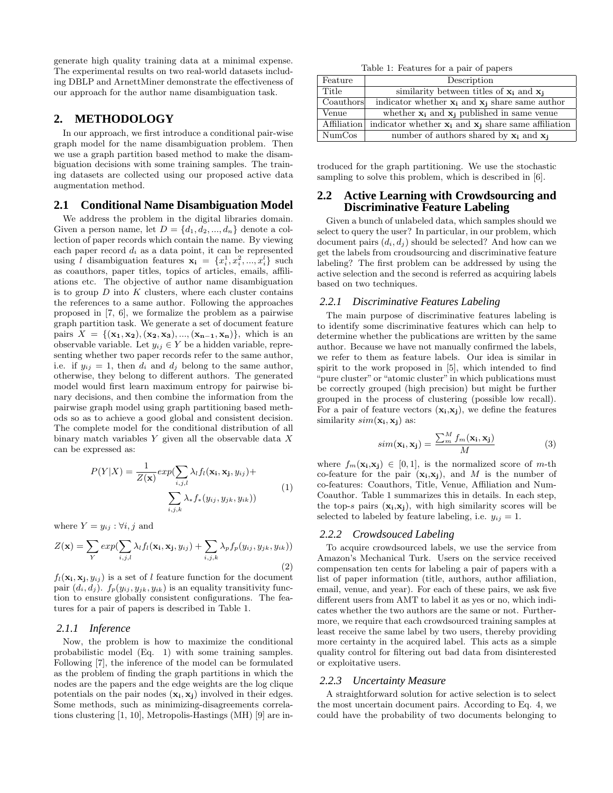generate high quality training data at a minimal expense. The experimental results on two real-world datasets including DBLP and ArnettMiner demonstrate the effectiveness of our approach for the author name disambiguation task.

## **2. METHODOLOGY**

In our approach, we first introduce a conditional pair-wise graph model for the name disambiguation problem. Then we use a graph partition based method to make the disambiguation decisions with some training samples. The training datasets are collected using our proposed active data augmentation method.

#### **2.1 Conditional Name Disambiguation Model**

We address the problem in the digital libraries domain. Given a person name, let  $D = \{d_1, d_2, ..., d_n\}$  denote a collection of paper records which contain the name. By viewing each paper record  $d_i$  as a data point, it can be represented using l disambiguation features  $\mathbf{x_i} = \{x_i^1, x_i^2, ..., x_i^l\}$  such as coauthors, paper titles, topics of articles, emails, affiliations etc. The objective of author name disambiguation is to group  $D$  into  $K$  clusters, where each cluster contains the references to a same author. Following the approaches proposed in [7, 6], we formalize the problem as a pairwise graph partition task. We generate a set of document feature pairs  $X = \{(\mathbf{x_1}, \mathbf{x_2}), (\mathbf{x_2}, \mathbf{x_3}), ..., (\mathbf{x_{n-1}}, \mathbf{x_n})\},\$  which is an observable variable. Let  $y_{ij} \in Y$  be a hidden variable, representing whether two paper records refer to the same author, i.e. if  $y_{ij} = 1$ , then  $d_i$  and  $d_j$  belong to the same author, otherwise, they belong to different authors. The generated model would first learn maximum entropy for pairwise binary decisions, and then combine the information from the pairwise graph model using graph partitioning based methods so as to achieve a good global and consistent decision. The complete model for the conditional distribution of all binary match variables  $Y$  given all the observable data  $X$ can be expressed as:

$$
P(Y|X) = \frac{1}{Z(\mathbf{x})} exp(\sum_{i,j,l} \lambda_l f_l(\mathbf{x_i}, \mathbf{x_j}, y_{ij}) + \sum_{i,j,k} \lambda_* f_*(y_{ij}, y_{jk}, y_{ik}))
$$
(1)

where  $Y = y_{ij}$ :  $\forall i, j$  and

$$
Z(\mathbf{x}) = \sum_{Y} exp(\sum_{i,j,l} \lambda_l f_l(\mathbf{x_i}, \mathbf{x_j}, y_{ij}) + \sum_{i,j,k} \lambda_p f_p(y_{ij}, y_{jk}, y_{ik}))
$$
\n(2)

 $f_l(\mathbf{x_i}, \mathbf{x_j}, y_{ij})$  is a set of l feature function for the document pair  $(d_i, d_j)$ .  $f_p(y_{ij}, y_{jk}, y_{ik})$  is an equality transitivity function to ensure globally consistent configurations. The features for a pair of papers is described in Table 1.

#### *2.1.1 Inference*

Now, the problem is how to maximize the conditional probabilistic model (Eq. 1) with some training samples. Following [7], the inference of the model can be formulated as the problem of finding the graph partitions in which the nodes are the papers and the edge weights are the log clique potentials on the pair nodes  $(\mathbf{x_i}, \mathbf{x_j})$  involved in their edges. Some methods, such as minimizing-disagreements correlations clustering [1, 10], Metropolis-Hastings (MH) [9] are in-

Table 1: Features for a pair of papers

| Feature   | Description                                                          |
|-----------|----------------------------------------------------------------------|
| Title     | similarity between titles of $x_i$ and $x_i$                         |
| Coauthors | indicator whether $x_i$ and $x_i$ share same author                  |
| Venue     | whether $x_i$ and $x_i$ published in same venue                      |
|           | Affiliation indicator whether $x_i$ and $x_j$ share same affiliation |
| NumCos    | number of authors shared by $x_i$ and $x_i$                          |

troduced for the graph partitioning. We use the stochastic sampling to solve this problem, which is described in [6].

## **2.2 Active Learning with Crowdsourcing and Discriminative Feature Labeling**

Given a bunch of unlabeled data, which samples should we select to query the user? In particular, in our problem, which document pairs  $(d_i, d_j)$  should be selected? And how can we get the labels from croudsourcing and discriminative feature labeling? The first problem can be addressed by using the active selection and the second is referred as acquiring labels based on two techniques.

#### *2.2.1 Discriminative Features Labeling*

The main purpose of discriminative features labeling is to identify some discriminative features which can help to determine whether the publications are written by the same author. Because we have not manually confirmed the labels, we refer to them as feature labels. Our idea is similar in spirit to the work proposed in [5], which intended to find "pure cluster" or "atomic cluster"in which publications must be correctly grouped (high precision) but might be further grouped in the process of clustering (possible low recall). For a pair of feature vectors  $(x_i, x_i)$ , we define the features similarity  $sim(\mathbf{x_i}, \mathbf{x_i})$  as:

$$
sim(\mathbf{x_i}, \mathbf{x_j}) = \frac{\sum_{m}^{M} f_m(\mathbf{x_i}, \mathbf{x_j})}{M}
$$
 (3)

where  $f_m(\mathbf{x_i}, \mathbf{x_j}) \in [0, 1]$ , is the normalized score of m-th co-feature for the pair  $(x_i, x_j)$ , and M is the number of co-features: Coauthors, Title, Venue, Affiliation and Num-Coauthor. Table 1 summarizes this in details. In each step, the top-s pairs  $(x_i, x_j)$ , with high similarity scores will be selected to labeled by feature labeling, i.e.  $y_{ij} = 1$ .

#### *2.2.2 Crowdsouced Labeling*

To acquire crowdsourced labels, we use the service from Amazon's Mechanical Turk. Users on the service received compensation ten cents for labeling a pair of papers with a list of paper information (title, authors, author affiliation, email, venue, and year). For each of these pairs, we ask five different users from AMT to label it as yes or no, which indicates whether the two authors are the same or not. Furthermore, we require that each crowdsourced training samples at least receive the same label by two users, thereby providing more certainty in the acquired label. This acts as a simple quality control for filtering out bad data from disinterested or exploitative users.

#### *2.2.3 Uncertainty Measure*

A straightforward solution for active selection is to select the most uncertain document pairs. According to Eq. 4, we could have the probability of two documents belonging to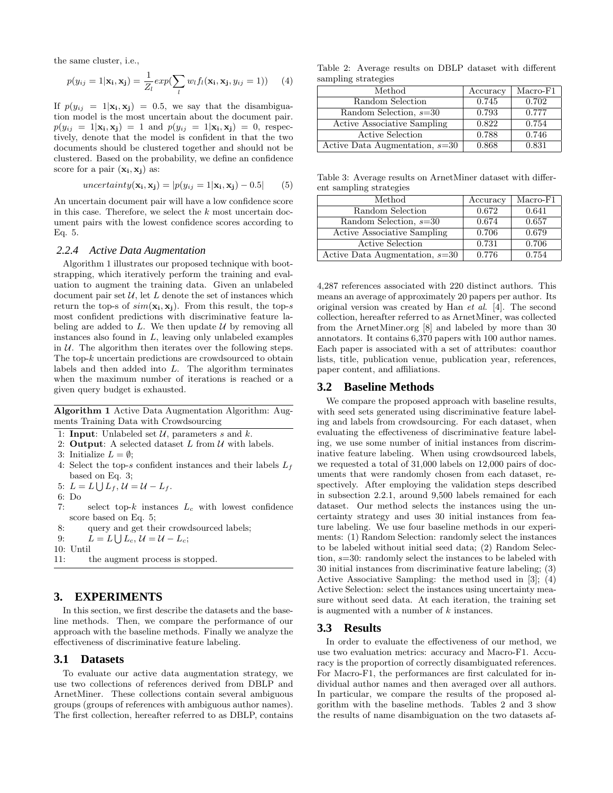the same cluster, i.e.,

$$
p(y_{ij} = 1 | \mathbf{x_i}, \mathbf{x_j}) = \frac{1}{Z_l} exp(\sum_l w_l f_l(\mathbf{x_i}, \mathbf{x_j}, y_{ij} = 1)) \qquad (4)
$$

If  $p(y_{ij} = 1|\mathbf{x_i}, \mathbf{x_j}) = 0.5$ , we say that the disambiguation model is the most uncertain about the document pair.  $p(y_{ij} = 1|\mathbf{x_i}, \mathbf{x_j}) = 1$  and  $p(y_{ij} = 1|\mathbf{x_i}, \mathbf{x_j}) = 0$ , respectively, denote that the model is confident in that the two documents should be clustered together and should not be clustered. Based on the probability, we define an confidence score for a pair  $(x_i, x_i)$  as:

$$
uncertainty(\mathbf{x_i}, \mathbf{x_j}) = |p(y_{ij} = 1 | \mathbf{x_i}, \mathbf{x_j}) - 0.5| \qquad (5)
$$

An uncertain document pair will have a low confidence score in this case. Therefore, we select the  $k$  most uncertain document pairs with the lowest confidence scores according to Eq. 5.

#### *2.2.4 Active Data Augmentation*

Algorithm 1 illustrates our proposed technique with bootstrapping, which iteratively perform the training and evaluation to augment the training data. Given an unlabeled document pair set  $\mathcal U$ , let L denote the set of instances which return the top-s of  $sim(\mathbf{x_i}, \mathbf{x_j})$ . From this result, the top-s most confident predictions with discriminative feature labeling are added to  $L$ . We then update  $\mathcal U$  by removing all instances also found in  $L$ , leaving only unlabeled examples in  $U$ . The algorithm then iterates over the following steps. The top-k uncertain predictions are crowdsourced to obtain labels and then added into L. The algorithm terminates when the maximum number of iterations is reached or a given query budget is exhausted.

Algorithm 1 Active Data Augmentation Algorithm: Augments Training Data with Crowdsourcing

- 1: Input: Unlabeled set  $U$ , parameters s and k.
- 2: Output: A selected dataset  $L$  from  $\mathcal U$  with labels.
- 3: Initialize  $L = \emptyset$ ;
- 4: Select the top-s confident instances and their labels  $L_f$ based on Eq. 3;
- 5:  $L = L \bigcup L_f$ ,  $\mathcal{U} = \mathcal{U} L_f$ .
- 6: Do
- 7: select top- $k$  instances  $L_c$  with lowest confidence score based on Eq. 5;
- 8: query and get their crowdsourced labels;
- 9:  $L = L \bigcup L_c, \mathcal{U} = \mathcal{U} L_c;$
- 10: Until
- 11: the augment process is stopped.

## **3. EXPERIMENTS**

In this section, we first describe the datasets and the baseline methods. Then, we compare the performance of our approach with the baseline methods. Finally we analyze the effectiveness of discriminative feature labeling.

#### **3.1 Datasets**

To evaluate our active data augmentation strategy, we use two collections of references derived from DBLP and ArnetMiner. These collections contain several ambiguous groups (groups of references with ambiguous author names). The first collection, hereafter referred to as DBLP, contains

Table 2: Average results on DBLP dataset with different sampling strategies

| Method                           | Accuracy | $Macro-F1$ |
|----------------------------------|----------|------------|
| Random Selection                 | 0.745    | 0.702      |
| Random Selection, $s=30$         | 0.793    | 0.777      |
| Active Associative Sampling      | 0.822    | 0.754      |
| Active Selection                 | 0.788    | 0.746      |
| Active Data Augmentation, $s=30$ | 0.868    | 0.831      |

Table 3: Average results on ArnetMiner dataset with different sampling strategies

| Method                           | Accuracy | $Macro-F1$ |
|----------------------------------|----------|------------|
| Random Selection                 | 0.672    | 0.641      |
| Random Selection, $s=30$         | 0.674    | 0.657      |
| Active Associative Sampling      | 0.706    | 0.679      |
| <b>Active Selection</b>          | 0.731    | 0.706      |
| Active Data Augmentation, $s=30$ | 0.776    | 0.754      |

4,287 references associated with 220 distinct authors. This means an average of approximately 20 papers per author. Its original version was created by Han et al. [4]. The second collection, hereafter referred to as ArnetMiner, was collected from the ArnetMiner.org [8] and labeled by more than 30 annotators. It contains 6,370 papers with 100 author names. Each paper is associated with a set of attributes: coauthor lists, title, publication venue, publication year, references, paper content, and affiliations.

#### **3.2 Baseline Methods**

We compare the proposed approach with baseline results, with seed sets generated using discriminative feature labeling and labels from crowdsourcing. For each dataset, when evaluating the effectiveness of discriminative feature labeling, we use some number of initial instances from discriminative feature labeling. When using crowdsourced labels, we requested a total of 31,000 labels on 12,000 pairs of documents that were randomly chosen from each dataset, respectively. After employing the validation steps described in subsection 2.2.1, around 9,500 labels remained for each dataset. Our method selects the instances using the uncertainty strategy and uses 30 initial instances from feature labeling. We use four baseline methods in our experiments: (1) Random Selection: randomly select the instances to be labeled without initial seed data; (2) Random Selection,  $s=30$ : randomly select the instances to be labeled with 30 initial instances from discriminative feature labeling; (3) Active Associative Sampling: the method used in [3]; (4) Active Selection: select the instances using uncertainty measure without seed data. At each iteration, the training set is augmented with a number of k instances.

#### **3.3 Results**

In order to evaluate the effectiveness of our method, we use two evaluation metrics: accuracy and Macro-F1. Accuracy is the proportion of correctly disambiguated references. For Macro-F1, the performances are first calculated for individual author names and then averaged over all authors. In particular, we compare the results of the proposed algorithm with the baseline methods. Tables 2 and 3 show the results of name disambiguation on the two datasets af-